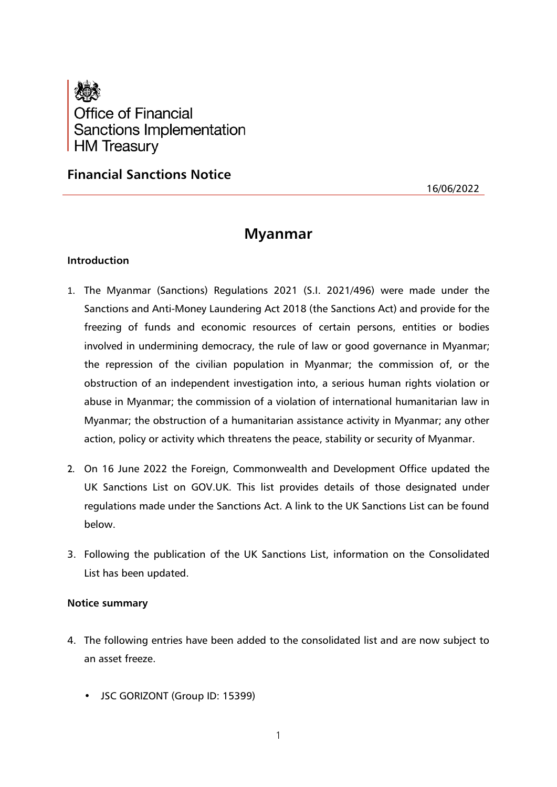

**Financial Sanctions Notice**

16/06/2022

# **Myanmar**

## **Introduction**

- 1. The Myanmar (Sanctions) Regulations 2021 (S.I. 2021/496) were made under the Sanctions and Anti-Money Laundering Act 2018 (the Sanctions Act) and provide for the freezing of funds and economic resources of certain persons, entities or bodies involved in undermining democracy, the rule of law or good governance in Myanmar; the repression of the civilian population in Myanmar; the commission of, or the obstruction of an independent investigation into, a serious human rights violation or abuse in Myanmar; the commission of a violation of international humanitarian law in Myanmar; the obstruction of a humanitarian assistance activity in Myanmar; any other action, policy or activity which threatens the peace, stability or security of Myanmar.
- 2. On 16 June 2022 the Foreign, Commonwealth and Development Office updated the UK Sanctions List on GOV.UK. This list provides details of those designated under regulations made under the Sanctions Act. A link to the UK Sanctions List can be found below.
- 3. Following the publication of the UK Sanctions List, information on the Consolidated List has been updated.

#### **Notice summary**

- 4. The following entries have been added to the consolidated list and are now subject to an asset freeze.
	- JSC GORIZONT (Group ID: 15399)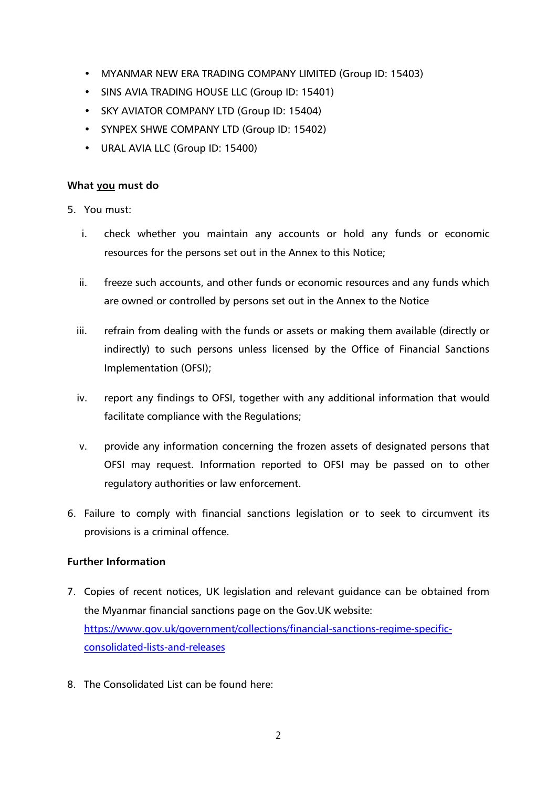- MYANMAR NEW ERA TRADING COMPANY LIMITED (Group ID: 15403)
- SINS AVIA TRADING HOUSE LLC (Group ID: 15401)
- SKY AVIATOR COMPANY LTD (Group ID: 15404)
- SYNPEX SHWE COMPANY LTD (Group ID: 15402)
- URAL AVIA LLC (Group ID: 15400)

## **What you must do**

- 5. You must:
	- i. check whether you maintain any accounts or hold any funds or economic resources for the persons set out in the Annex to this Notice;
	- ii. freeze such accounts, and other funds or economic resources and any funds which are owned or controlled by persons set out in the Annex to the Notice
	- iii. refrain from dealing with the funds or assets or making them available (directly or indirectly) to such persons unless licensed by the Office of Financial Sanctions Implementation (OFSI);
	- iv. report any findings to OFSI, together with any additional information that would facilitate compliance with the Regulations;
	- v. provide any information concerning the frozen assets of designated persons that OFSI may request. Information reported to OFSI may be passed on to other regulatory authorities or law enforcement.
- 6. Failure to comply with financial sanctions legislation or to seek to circumvent its provisions is a criminal offence.

## **Further Information**

- 7. Copies of recent notices, UK legislation and relevant guidance can be obtained from the Myanmar financial sanctions page on the Gov.UK website: [https://www.gov.uk/government/collections/financial-sanctions-regime-specific](https://www.gov.uk/government/collections/financial-sanctions-regime-specific-consolidated-lists-and-releases)[consolidated-lists-and-releases](https://www.gov.uk/government/collections/financial-sanctions-regime-specific-consolidated-lists-and-releases)
- 8. The Consolidated List can be found here: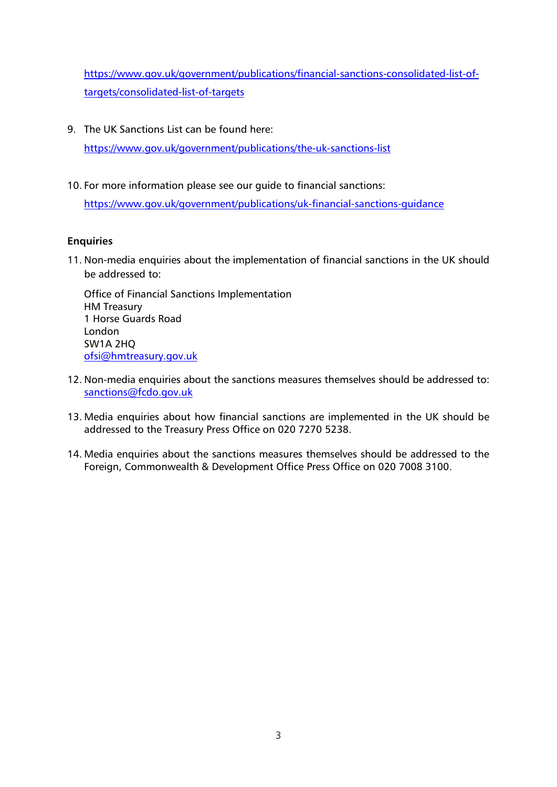[https://www.gov.uk/government/publications/financial-sanctions-consolidated-list-of](https://www.gov.uk/government/publications/financial-sanctions-consolidated-list-of-targets/consolidated-list-of-targets)[targets/consolidated-list-of-targets](https://www.gov.uk/government/publications/financial-sanctions-consolidated-list-of-targets/consolidated-list-of-targets)

9. The UK Sanctions List can be found here:

<https://www.gov.uk/government/publications/the-uk-sanctions-list>

10. For more information please see our guide to financial sanctions:

<https://www.gov.uk/government/publications/uk-financial-sanctions-guidance>

## **Enquiries**

11. Non-media enquiries about the implementation of financial sanctions in the UK should be addressed to:

Office of Financial Sanctions Implementation HM Treasury 1 Horse Guards Road London SW1A 2HQ [ofsi@hmtreasury.gov.uk](mailto:ofsi@hmtreasury.gov.uk)

- 12. Non-media enquiries about the sanctions measures themselves should be addressed to: [sanctions@fcdo.gov.uk](mailto:sanctions@fcdo.gov.uk)
- 13. Media enquiries about how financial sanctions are implemented in the UK should be addressed to the Treasury Press Office on 020 7270 5238.
- 14. Media enquiries about the sanctions measures themselves should be addressed to the Foreign, Commonwealth & Development Office Press Office on 020 7008 3100.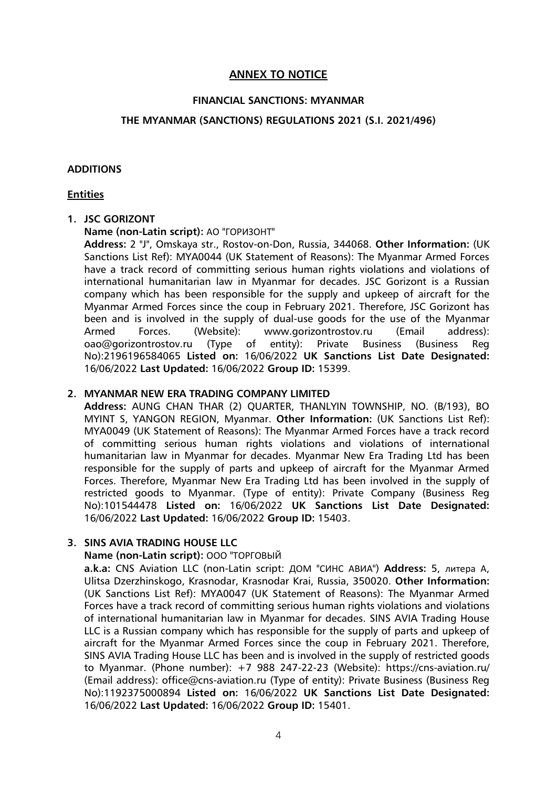## **ANNEX TO NOTICE**

#### **FINANCIAL SANCTIONS: MYANMAR**

## **THE MYANMAR (SANCTIONS) REGULATIONS 2021 (S.I. 2021/496)**

#### **ADDITIONS**

#### **Entities**

#### **1. JSC GORIZONT**

#### **Name (non-Latin script):** АО "ГОРИЗОНТ"

**Address:** 2 "J", Omskaya str., Rostov-on-Don, Russia, 344068. **Other Information:** (UK Sanctions List Ref): MYA0044 (UK Statement of Reasons): The Myanmar Armed Forces have a track record of committing serious human rights violations and violations of international humanitarian law in Myanmar for decades. JSC Gorizont is a Russian company which has been responsible for the supply and upkeep of aircraft for the Myanmar Armed Forces since the coup in February 2021. Therefore, JSC Gorizont has been and is involved in the supply of dual-use goods for the use of the Myanmar Armed Forces. (Website): www.gorizontrostov.ru (Email address): oao@gorizontrostov.ru (Type of entity): Private Business (Business Reg No):2196196584065 **Listed on:** 16/06/2022 **UK Sanctions List Date Designated:** 16/06/2022 **Last Updated:** 16/06/2022 **Group ID:** 15399.

## **2. MYANMAR NEW ERA TRADING COMPANY LIMITED**

**Address:** AUNG CHAN THAR (2) QUARTER, THANLYIN TOWNSHIP, NO. (B/193), BO MYINT S, YANGON REGION, Myanmar. **Other Information:** (UK Sanctions List Ref): MYA0049 (UK Statement of Reasons): The Myanmar Armed Forces have a track record of committing serious human rights violations and violations of international humanitarian law in Myanmar for decades. Myanmar New Era Trading Ltd has been responsible for the supply of parts and upkeep of aircraft for the Myanmar Armed Forces. Therefore, Myanmar New Era Trading Ltd has been involved in the supply of restricted goods to Myanmar. (Type of entity): Private Company (Business Reg No):101544478 **Listed on:** 16/06/2022 **UK Sanctions List Date Designated:** 16/06/2022 **Last Updated:** 16/06/2022 **Group ID:** 15403.

## **3. SINS AVIA TRADING HOUSE LLC**

#### **Name (non-Latin script):** ООО "ТОРГОВЫЙ

**a.k.a:** CNS Aviation LLC (non-Latin script: ДОМ "СИНС АВИА") **Address:** 5, литера А, Ulitsa Dzerzhinskogo, Krasnodar, Krasnodar Krai, Russia, 350020. **Other Information:** (UK Sanctions List Ref): MYA0047 (UK Statement of Reasons): The Myanmar Armed Forces have a track record of committing serious human rights violations and violations of international humanitarian law in Myanmar for decades. SINS AVIA Trading House LLC is a Russian company which has responsible for the supply of parts and upkeep of aircraft for the Myanmar Armed Forces since the coup in February 2021. Therefore, SINS AVIA Trading House LLC has been and is involved in the supply of restricted goods to Myanmar. (Phone number): +7 988 247-22-23 (Website): https://cns-aviation.ru/ (Email address): office@cns-aviation.ru (Type of entity): Private Business (Business Reg No):1192375000894 **Listed on:** 16/06/2022 **UK Sanctions List Date Designated:** 16/06/2022 **Last Updated:** 16/06/2022 **Group ID:** 15401.